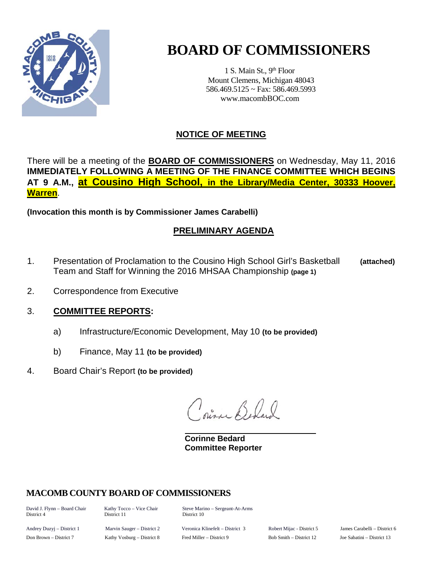

# **BOARD OF COMMISSIONERS**

1 S. Main St., 9<sup>th</sup> Floor Mount Clemens, Michigan 48043 586.469.5125 ~ Fax: 586.469.5993 www.macombBOC.com

# **NOTICE OF MEETING**

There will be a meeting of the **BOARD OF COMMISSIONERS** on Wednesday, May 11, 2016 **IMMEDIATELY FOLLOWING A MEETING OF THE FINANCE COMMITTEE WHICH BEGINS AT 9 A.M., at Cousino High School, in the Library/Media Center, 30333 Hoover, Warren**.

**(Invocation this month is by Commissioner James Carabelli)**

# **PRELIMINARY AGENDA**

- 1. Presentation of Proclamation to the Cousino High School Girl's Basketball **(attached)** Team and Staff for Winning the 2016 MHSAA Championship **(page 1)**
- 2. Correspondence from Executive

## 3. **COMMITTEE REPORTS:**

- a) Infrastructure/Economic Development, May 10 **(to be provided)**
- b) Finance, May 11 **(to be provided)**
- 4. Board Chair's Report **(to be provided)**

Sil Belal

**Corinne Bedard Committee Reporter**

## **MACOMB COUNTY BOARD OF COMMISSIONERS**

District 4

David J. Flynn – Board Chair Kathy Tocco – Vice Chair Steve Marino – Sergeant-At-Arms<br>District 4 District 10 District 10

Andrey Duzyj – District 1 Marvin Sauger – District 2 Veronica Klinefelt – District 3 Robert Mijac - District 5 James Carabelli – District 6 Don Brown – District 7 Kathy Vosburg – District 8 Fred Miller – District 9 Bob Smith – District 12 Joe Sabatini – District 13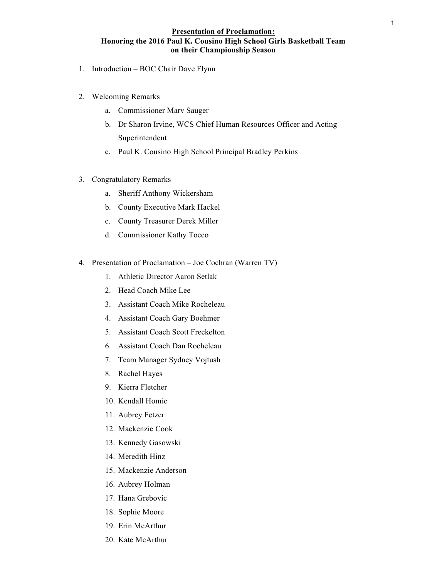### **Presentation of Proclamation: Honoring the 2016 Paul K. Cousino High School Girls Basketball Team on their Championship Season**

- 1. Introduction BOC Chair Dave Flynn
- 2. Welcoming Remarks
	- a. Commissioner Marv Sauger
	- b. Dr Sharon Irvine, WCS Chief Human Resources Officer and Acting Superintendent
	- c. Paul K. Cousino High School Principal Bradley Perkins
- 3. Congratulatory Remarks
	- a. Sheriff Anthony Wickersham
	- b. County Executive Mark Hackel
	- c. County Treasurer Derek Miller
	- d. Commissioner Kathy Tocco
- 4. Presentation of Proclamation Joe Cochran (Warren TV)
	- 1. Athletic Director Aaron Setlak
	- 2. Head Coach Mike Lee
	- 3. Assistant Coach Mike Rocheleau
	- 4. Assistant Coach Gary Boehmer
	- 5. Assistant Coach Scott Freckelton
	- 6. Assistant Coach Dan Rocheleau
	- 7. Team Manager Sydney Vojtush
	- 8. Rachel Hayes
	- 9. Kierra Fletcher
	- 10. Kendall Homic
	- 11. Aubrey Fetzer
	- 12. Mackenzie Cook
	- 13. Kennedy Gasowski
	- 14. Meredith Hinz
	- 15. Mackenzie Anderson
	- 16. Aubrey Holman
	- 17. Hana Grebovic
	- 18. Sophie Moore
	- 19. Erin McArthur
	- 20. Kate McArthur